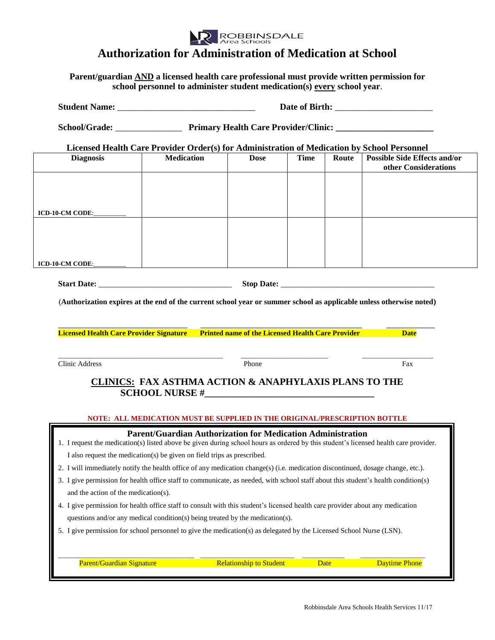

## **Authorization for Administration of Medication at School**

**Parent/guardian AND a licensed health care professional must provide written permission for school personnel to administer student medication(s) every school year**.

|                                                                                                                     | School/Grade: <u>Frimary Health Care Provider</u> /Clinic:                                                                           |                                |             |       |                                                             |  |
|---------------------------------------------------------------------------------------------------------------------|--------------------------------------------------------------------------------------------------------------------------------------|--------------------------------|-------------|-------|-------------------------------------------------------------|--|
|                                                                                                                     | Licensed Health Care Provider Order(s) for Administration of Medication by School Personnel                                          |                                |             |       |                                                             |  |
| <b>Diagnosis</b>                                                                                                    | <b>Medication</b>                                                                                                                    | <b>Dose</b>                    | <b>Time</b> | Route | <b>Possible Side Effects and/or</b><br>other Considerations |  |
|                                                                                                                     |                                                                                                                                      |                                |             |       |                                                             |  |
|                                                                                                                     |                                                                                                                                      |                                |             |       |                                                             |  |
|                                                                                                                     |                                                                                                                                      |                                |             |       |                                                             |  |
|                                                                                                                     |                                                                                                                                      |                                |             |       |                                                             |  |
|                                                                                                                     |                                                                                                                                      |                                |             |       |                                                             |  |
| <b>ICD-10-CM CODE:</b>                                                                                              |                                                                                                                                      |                                |             |       |                                                             |  |
|                                                                                                                     |                                                                                                                                      |                                |             |       |                                                             |  |
|                                                                                                                     |                                                                                                                                      |                                |             |       |                                                             |  |
| (Authorization expires at the end of the current school year or summer school as applicable unless otherwise noted) |                                                                                                                                      |                                |             |       |                                                             |  |
|                                                                                                                     |                                                                                                                                      |                                |             |       |                                                             |  |
|                                                                                                                     |                                                                                                                                      |                                |             |       |                                                             |  |
|                                                                                                                     |                                                                                                                                      |                                |             |       |                                                             |  |
|                                                                                                                     | Licensed Health Care Provider Signature Printed name of the Licensed Health Care Provider                                            |                                |             |       | <b>Date</b>                                                 |  |
|                                                                                                                     |                                                                                                                                      |                                |             |       |                                                             |  |
| <b>Clinic Address</b>                                                                                               |                                                                                                                                      | Phone                          |             |       | Fax                                                         |  |
|                                                                                                                     |                                                                                                                                      |                                |             |       |                                                             |  |
|                                                                                                                     | <b>CLINICS: FAX ASTHMA ACTION &amp; ANAPHYLAXIS PLANS TO THE</b>                                                                     |                                |             |       |                                                             |  |
|                                                                                                                     |                                                                                                                                      |                                |             |       |                                                             |  |
|                                                                                                                     | NOTE: ALL MEDICATION MUST BE SUPPLIED IN THE ORIGINAL/PRESCRIPTION BOTTLE                                                            |                                |             |       |                                                             |  |
|                                                                                                                     | <b>Parent/Guardian Authorization for Medication Administration</b>                                                                   |                                |             |       |                                                             |  |
|                                                                                                                     | 1. I request the medication(s) listed above be given during school hours as ordered by this student's licensed health care provider. |                                |             |       |                                                             |  |
|                                                                                                                     | I also request the medication(s) be given on field trips as prescribed.                                                              |                                |             |       |                                                             |  |
|                                                                                                                     | 2. I will immediately notify the health office of any medication change(s) (i.e. medication discontinued, dosage change, etc.).      |                                |             |       |                                                             |  |
| and the action of the medication(s).                                                                                | 3. I give permission for health office staff to communicate, as needed, with school staff about this student's health condition(s)   |                                |             |       |                                                             |  |
|                                                                                                                     | 4. I give permission for health office staff to consult with this student's licensed health care provider about any medication       |                                |             |       |                                                             |  |
|                                                                                                                     | questions and/or any medical condition(s) being treated by the medication(s).                                                        |                                |             |       |                                                             |  |
|                                                                                                                     | 5. I give permission for school personnel to give the medication(s) as delegated by the Licensed School Nurse (LSN).                 |                                |             |       |                                                             |  |
| Parent/Guardian Signature                                                                                           |                                                                                                                                      | <b>Relationship to Student</b> |             |       | <b>Daytime Phone</b>                                        |  |